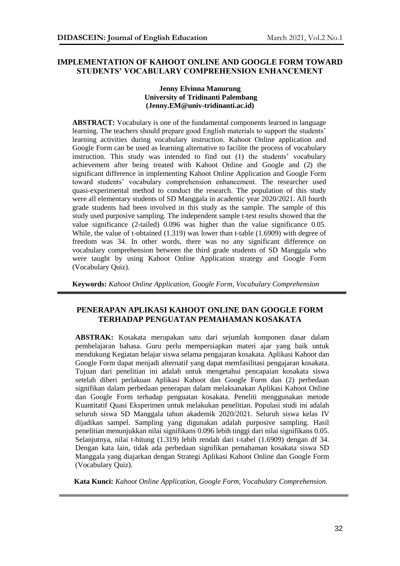## **IMPLEMENTATION OF KAHOOT ONLINE AND GOOGLE FORM TOWARD STUDENTS' VOCABULARY COMPREHENSION ENHANCEMENT**

#### **Jenny Elvinna Manurung University of Tridinanti Palembang (Jenny.EM@univ-tridinanti.ac.id)**

**ABSTRACT:** Vocabulary is one of the fundamental components learned in language learning. The teachers should prepare good English materials to support the students' learning activities during vocabulary instruction. Kahoot Online application and Google Form can be used as learning alternative to facilite the process of vocabulary instruction. This study was intended to find out (1) the students' vocabulary achievement after being treated with Kahoot Online and Google and (2) the significant difference in implementing Kahoot Online Application and Google Form toward students' vocabulary comprehension enhancement. The researcher used quasi-experimental method to conduct the research. The population of this study were all elementary students of SD Manggala in academic year 2020/2021. All fourth grade students had been involved in this study as the sample. The sample of this study used purposive sampling. The independent sample t-test results showed that the value significance (2-tailed) 0.096 was higher than the value significance 0.05. While, the value of t-obtained (1.319) was lower than t-table (1.6909) with degree of freedom was 34. In other words, there was no any significant difference on vocabulary comprehension between the third grade students of SD Manggala who were taught by using Kahoot Online Application strategy and Google Form (Vocabulary Quiz).

**Keywords:** *Kahoot Online Application, Google Form, Vocabulary Comprehension*

## **PENERAPAN APLIKASI KAHOOT ONLINE DAN GOOGLE FORM TERHADAP PENGUATAN PEMAHAMAN KOSAKATA**

**ABSTRAK:** Kosakata merupakan satu dari sejumlah komponen dasar dalam pembelajaran bahasa. Guru perlu mempersiapkan materi ajar yang baik untuk mendukung Kegiatan belajar siswa selama pengajaran kosakata. Aplikasi Kahoot dan Google Form dapat menjadi alternatif yang dapat memfasilitasi pengajaran kosakata. Tujuan dari penelitian ini adalah untuk mengetahui pencapaian kosakata siswa setelah diberi perlakuan Aplikasi Kahoot dan Google Form dan (2) perbedaan signifikan dalam perbedaan penerapan dalam melaksanakan Aplikasi Kahoot Online dan Google Form terhadap penguatan kosakata. Peneliti menggunakan metode Kuantitatif Quasi Eksperimen untuk melakukan penelitian. Populasi studi ini adalah seluruh siswa SD Manggala tahun akademik 2020/2021. Seluruh siswa kelas IV dijadikan sampel. Sampling yang digunakan adalah purposive sampling. Hasil penelitian menunjukkan nilai signifikans 0.096 lebih tinggi dari nilai signifikans 0.05. Selanjutnya, nilai t-hitung (1.319) lebih rendah dari t-tabel (1.6909) dengan df 34. Dengan kata lain, tidak ada perbedaan signifikan pemahaman kosakata siswa SD Manggala yang diajarkan dengan Strategi Aplikasi Kahoot Online dan Google Form (Vocabulary Quiz).

**Kata Kunci:** *Kahoot Online Application, Google Form, Vocabulary Comprehension.*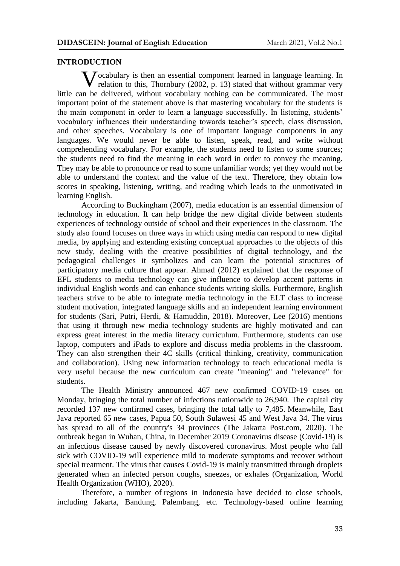### **INTRODUCTION**

**V** ocabulary is then an essential component learned in language learning. In relation to this, Thornbury (2002, p. 13) stated that without grammar very relation to this, Thornbury (2002, p. 13) stated that without grammar very little can be delivered, without vocabulary nothing can be communicated. The most important point of the statement above is that mastering vocabulary for the students is the main component in order to learn a language successfully. In listening, students' vocabulary influences their understanding towards teacher's speech, class discussion, and other speeches. Vocabulary is one of important language components in any languages. We would never be able to listen, speak, read, and write without comprehending vocabulary. For example, the students need to listen to some sources; the students need to find the meaning in each word in order to convey the meaning. They may be able to pronounce or read to some unfamiliar words; yet they would not be able to understand the context and the value of the text. Therefore, they obtain low scores in speaking, listening, writing, and reading which leads to the unmotivated in learning English.

According to Buckingham (2007), media education is an essential dimension of technology in education. It can help bridge the new digital divide between students experiences of technology outside of school and their experiences in the classroom. The study also found focuses on three ways in which using media can respond to new digital media, by applying and extending existing conceptual approaches to the objects of this new study, dealing with the creative possibilities of digital technology, and the pedagogical challenges it symbolizes and can learn the potential structures of participatory media culture that appear. Ahmad (2012) explained that the response of EFL students to media technology can give influence to develop accent patterns in individual English words and can enhance students writing skills. Furthermore, English teachers strive to be able to integrate media technology in the ELT class to increase student motivation, integrated language skills and an independent learning environment for students (Sari, Putri, Herdi, & Hamuddin, 2018). Moreover, Lee (2016) mentions that using it through new media technology students are highly motivated and can express great interest in the media literacy curriculum. Furthermore, students can use laptop, computers and iPads to explore and discuss media problems in the classroom. They can also strengthen their 4C skills (critical thinking, creativity, communication and collaboration). Using new information technology to teach educational media is very useful because the new curriculum can create "meaning" and "relevance" for students.

The Health Ministry announced 467 new confirmed COVID-19 cases on Monday, bringing the total number of infections nationwide to 26,940. The capital city recorded 137 new confirmed cases, bringing the total tally to 7,485. Meanwhile, East Java reported 65 new cases, Papua 50, South Sulawesi 45 and West Java 34. The virus has spread to all of the country's 34 provinces (The Jakarta Post.com, 2020). The outbreak began in Wuhan, China, in December 2019 Coronavirus disease (Covid-19) is an infectious disease caused by newly discovered coronavirus. Most people who fall sick with COVID-19 will experience mild to moderate symptoms and recover without special treatment. The virus that causes Covid-19 is mainly transmitted through droplets generated when an infected person coughs, sneezes, or exhales (Organization, World Health Organization (WHO), 2020).

Therefore, a number of [regions in Indonesia have decided to close schools,](https://www.thejakartapost.com/news/2020/03/15/regions-close-schools-cancel-public-events-because-of-covid-19.html) including Jakarta, Bandung, Palembang, etc. Technology-based online learning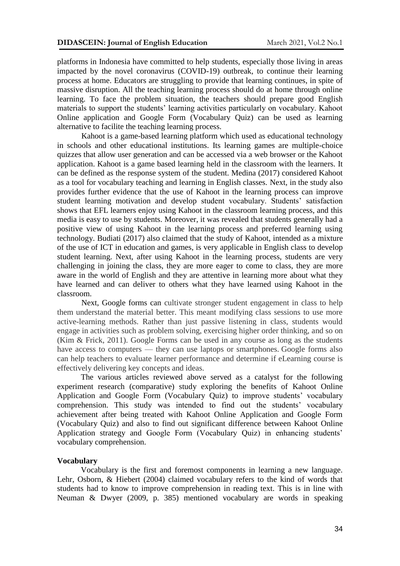platforms in Indonesia have committed to help students, especially those living in areas impacted by the novel coronavirus (COVID-19) outbreak, to continue their learning process at home. Educators are struggling to provide that learning continues, in spite of massive disruption. All the teaching learning process should do at home through online learning. To face the problem situation, the teachers should prepare good English materials to support the students' learning activities particularly on vocabulary. Kahoot Online application and Google Form (Vocabulary Quiz) can be used as learning alternative to facilite the teaching learning process.

Kahoot is a game-based learning platform which used as educational technology in schools and other educational institutions. Its learning games are multiple-choice quizzes that allow user generation and can be accessed via a web browser or the Kahoot application. Kahoot is a game based learning held in the classroom with the learners. It can be defined as the response system of the student. Medina (2017) considered Kahoot as a tool for vocabulary teaching and learning in English classes. Next, in the study also provides further evidence that the use of Kahoot in the learning process can improve student learning motivation and develop student vocabulary. Students' satisfaction shows that EFL learners enjoy using Kahoot in the classroom learning process, and this media is easy to use by students. Moreover, it was revealed that students generally had a positive view of using Kahoot in the learning process and preferred learning using technology. Budiati (2017) also claimed that the study of Kahoot, intended as a mixture of the use of ICT in education and games, is very applicable in English class to develop student learning. Next, after using Kahoot in the learning process, students are very challenging in joining the class, they are more eager to come to class, they are more aware in the world of English and they are attentive in learning more about what they have learned and can deliver to others what they have learned using Kahoot in the classroom.

Next, Google forms can cultivate stronger student engagement in class to help them understand the material better. This meant modifying class sessions to use more active-learning methods. Rather than just passive listening in class, students would engage in activities such as problem solving, exercising higher order thinking, and so on (Kim & Frick, 2011). Google Forms can be used in any course as long as the students have access to computers — they can use laptops or smartphones. Google forms also can help teachers to evaluate learner performance and determine if eLearning course is effectively delivering key concepts and ideas.

The various articles reviewed above served as a catalyst for the following experiment research (comparative) study exploring the benefits of Kahoot Online Application and Google Form (Vocabulary Quiz) to improve students' vocabulary comprehension. This study was intended to find out the students' vocabulary achievement after being treated with Kahoot Online Application and Google Form (Vocabulary Quiz) and also to find out significant difference between Kahoot Online Application strategy and Google Form (Vocabulary Quiz) in enhancing students' vocabulary comprehension.

### **Vocabulary**

Vocabulary is the first and foremost components in learning a new language. Lehr, Osborn, & Hiebert (2004) claimed vocabulary refers to the kind of words that students had to know to improve comprehension in reading text. This is in line with Neuman & Dwyer (2009, p. 385) mentioned vocabulary are words in speaking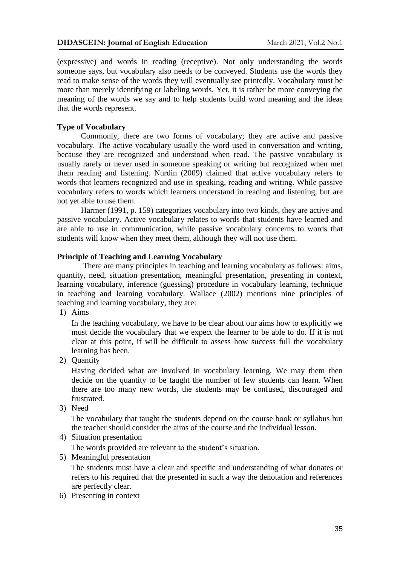(expressive) and words in reading (receptive). Not only understanding the words someone says, but vocabulary also needs to be conveyed. Students use the words they read to make sense of the words they will eventually see printedly. Vocabulary must be more than merely identifying or labeling words. Yet, it is rather be more conveying the meaning of the words we say and to help students build word meaning and the ideas that the words represent.

# **Type of Vocabulary**

Commonly, there are two forms of vocabulary; they are active and passive vocabulary. The active vocabulary usually the word used in conversation and writing, because they are recognized and understood when read. The passive vocabulary is usually rarely or never used in someone speaking or writing but recognized when met them reading and listening. Nurdin (2009) claimed that active vocabulary refers to words that learners recognized and use in speaking, reading and writing. While passive vocabulary refers to words which learners understand in reading and listening, but are not yet able to use them.

Harmer (1991, p. 159) categorizes vocabulary into two kinds, they are active and passive vocabulary. Active vocabulary relates to words that students have learned and are able to use in communication, while passive vocabulary concerns to words that students will know when they meet them, although they will not use them.

### **Principle of Teaching and Learning Vocabulary**

There are many principles in teaching and learning vocabulary as follows: aims, quantity, need, situation presentation, meaningful presentation, presenting in context, learning vocabulary, inference (guessing) procedure in vocabulary learning, technique in teaching and learning vocabulary. Wallace (2002) mentions nine principles of teaching and learning vocabulary, they are:

1) Aims

In the teaching vocabulary, we have to be clear about our aims how to explicitly we must decide the vocabulary that we expect the learner to be able to do. If it is not clear at this point, if will be difficult to assess how success full the vocabulary learning has been.

2) Quantity

Having decided what are involved in vocabulary learning. We may them then decide on the quantity to be taught the number of few students can learn. When there are too many new words, the students may be confused, discouraged and frustrated.

3) Need

The vocabulary that taught the students depend on the course book or syllabus but the teacher should consider the aims of the course and the individual lesson.

4) Situation presentation

The words provided are relevant to the student's situation.

5) Meaningful presentation

The students must have a clear and specific and understanding of what donates or refers to his required that the presented in such a way the denotation and references are perfectly clear.

6) Presenting in context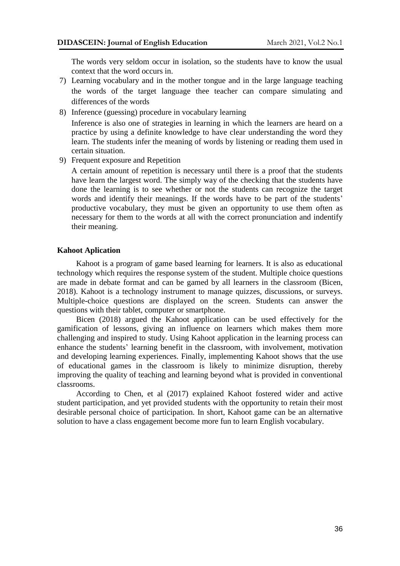The words very seldom occur in isolation, so the students have to know the usual context that the word occurs in.

- 7) Learning vocabulary and in the mother tongue and in the large language teaching the words of the target language thee teacher can compare simulating and differences of the words
- 8) Inference (guessing) procedure in vocabulary learning

Inference is also one of strategies in learning in which the learners are heard on a practice by using a definite knowledge to have clear understanding the word they learn. The students infer the meaning of words by listening or reading them used in certain situation.

9) Frequent exposure and Repetition

A certain amount of repetition is necessary until there is a proof that the students have learn the largest word. The simply way of the checking that the students have done the learning is to see whether or not the students can recognize the target words and identify their meanings. If the words have to be part of the students' productive vocabulary, they must be given an opportunity to use them often as necessary for them to the words at all with the correct pronunciation and indentify their meaning.

#### **Kahoot Aplication**

Kahoot is a program of game based learning for learners. It is also as educational technology which requires the response system of the student. Multiple choice questions are made in debate format and can be gamed by all learners in the classroom (Bicen, 2018). Kahoot is a technology instrument to manage quizzes, discussions, or surveys. Multiple-choice questions are displayed on the screen. Students can answer the questions with their tablet, computer or smartphone.

Bicen (2018) argued the Kahoot application can be used effectively for the gamification of lessons, giving an influence on learners which makes them more challenging and inspired to study. Using Kahoot application in the learning process can enhance the students' learning benefit in the classroom, with involvement, motivation and developing learning experiences. Finally, implementing Kahoot shows that the use of educational games in the classroom is likely to minimize disruption, thereby improving the quality of teaching and learning beyond what is provided in conventional classrooms.

According to Chen, et al (2017) explained Kahoot fostered wider and active student participation, and yet provided students with the opportunity to retain their most desirable personal choice of participation. In short, Kahoot game can be an alternative solution to have a class engagement become more fun to learn English vocabulary.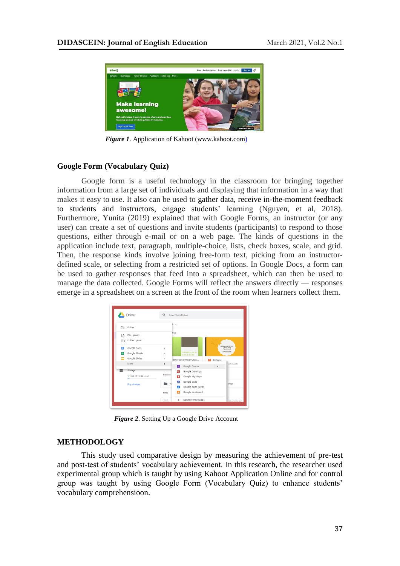

*Figure 1.* Application of Kahoot (www.kahoot.com)

## **Google Form (Vocabulary Quiz)**

Google form is a useful technology in the classroom for bringing together information from a large set of individuals and displaying that information in a way that makes it easy to use. It also can be used to gather data, receive in-the-moment feedback to students and instructors, engage students' learning (Nguyen, et al, 2018). Furthermore, Yunita (2019) explained that with Google Forms, an instructor (or any user) can create a set of questions and invite students (participants) to respond to those questions, either through e-mail or on a web page. The kinds of questions in the application include text, paragraph, multiple-choice, lists, check boxes, scale, and grid. Then, the response kinds involve joining free-form text, picking from an instructordefined scale, or selecting from a restricted set of options. In Google Docs, a form can be used to gather responses that feed into a spreadsheet, which can then be used to manage the data collected. Google Forms will reflect the answers directly — responses emerge in a spreadsheet on a screen at the front of the room when learners collect them.

|       | Drive                | Q Search in Drive |               |                                        |            |                             |
|-------|----------------------|-------------------|---------------|----------------------------------------|------------|-----------------------------|
| ⊡     | Folder               | э                 | $\rightarrow$ |                                        |            |                             |
| M     | File upload          |                   | ess           |                                        |            |                             |
| ħ     | Folder upload        |                   |               |                                        |            |                             |
| Е     | Google Docs          | $\,$              |               |                                        |            | COMMUNICATIVE<br>LANGUAGE   |
| $\pm$ | Google Sheets        | $\,$              |               | <b>INFORMATION</b><br><b>STRUCTURE</b> |            | to enter must not           |
|       | Google Slides        | $\,$              |               | RMATION STRUCTURE (                    | P CLT.pptx |                             |
|       | More                 | $\,$              | 肩             | Google Forms                           | $\,$       | ast month                   |
| ≣     | Storage              |                   | G             | Google Drawings                        |            |                             |
|       | 1.1 GB of 15 GB used | <b>Folders</b>    | п             | Google My Maps                         |            |                             |
|       | <b>Buy storage</b>   | Ċ                 | 旵             | Google Sites                           |            | shop                        |
|       |                      |                   | ٠             | Google Apps Script                     |            |                             |
|       |                      | Files             | и             | Google Jamboard                        |            |                             |
|       |                      | $E$ -ticket       | $^{+}$        | Connect more apps                      |            | Moneta Moura, Mi scan fran- |

*Figure 2*. Setting Up a Google Drive Account

### **METHODOLOGY**

This study used comparative design by measuring the achievement of pre-test and post-test of students' vocabulary achievement. In this research, the researcher used experimental group which is taught by using Kahoot Application Online and for control group was taught by using Google Form (Vocabulary Quiz) to enhance students' vocabulary comprehensioon.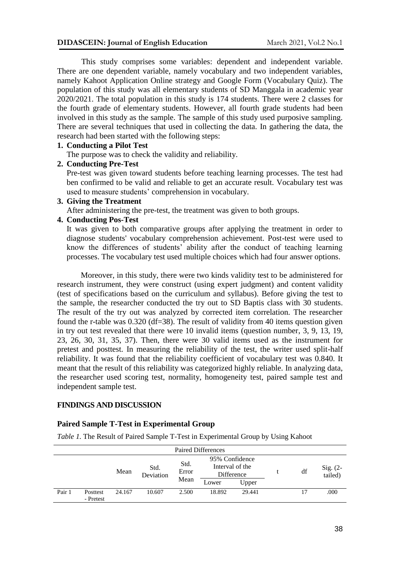This study comprises some variables: dependent and independent variable. There are one dependent variable, namely vocabulary and two independent variables, namely Kahoot Application Online strategy and Google Form (Vocabulary Quiz). The population of this study was all elementary students of SD Manggala in academic year 2020/2021. The total population in this study is 174 students. There were 2 classes for the fourth grade of elementary students. However, all fourth grade students had been involved in this study as the sample. The sample of this study used purposive sampling. There are several techniques that used in collecting the data. In gathering the data, the research had been started with the following steps:

### **1. Conducting a Pilot Test**

The purpose was to check the validity and reliability.

## **2. Conducting Pre-Test**

Pre-test was given toward students before teaching learning processes. The test had ben confirmed to be valid and reliable to get an accurate result. Vocabulary test was used to measure students' comprehension in vocabulary.

### **3. Giving the Treatment**

After administering the pre-test, the treatment was given to both groups.

# **4. Conducting Pos-Test**

It was given to both comparative groups after applying the treatment in order to diagnose students' vocabulary comprehension achievement. Post-test were used to know the differences of students' ability after the conduct of teaching learning processes. The vocabulary test used multiple choices which had four answer options.

Moreover, in this study, there were two kinds validity test to be administered for research instrument, they were construct (using expert judgment) and content validity (test of specifications based on the curriculum and syllabus). Before giving the test to the sample, the researcher conducted the try out to SD Baptis class with 30 students. The result of the try out was analyzed by corrected item correlation. The researcher found the r-table was 0.320 (df=38). The result of validity from 40 items question given in try out test revealed that there were 10 invalid items (question number, 3, 9, 13, 19, 23, 26, 30, 31, 35, 37). Then, there were 30 valid items used as the instrument for pretest and posttest. In measuring the reliability of the test, the writer used split-half reliability. It was found that the reliability coefficient of vocabulary test was 0.840. It meant that the result of this reliability was categorized highly reliable. In analyzing data, the researcher used scoring test, normality, homogeneity test, paired sample test and independent sample test.

### **FINDINGS AND DISCUSSION**

# **Paired Sample T-Test in Experimental Group**

*Table 1.* The Result of Paired Sample T-Test in Experimental Group by Using Kahoot

| <b>Paired Differences</b> |                       |        |                   |               |                                                 |        |  |    |                       |
|---------------------------|-----------------------|--------|-------------------|---------------|-------------------------------------------------|--------|--|----|-----------------------|
|                           | Mean                  |        | Std.<br>Deviation | Std.<br>Error | 95% Confidence<br>Interval of the<br>Difference |        |  | df | Sig. $(2-$<br>tailed) |
|                           |                       |        |                   | Mean          | Lower                                           | Upper  |  |    |                       |
| Pair 1                    | Posttest<br>- Pretest | 24.167 | 10.607            | 2.500         | 18.892                                          | 29.441 |  | 17 | .000                  |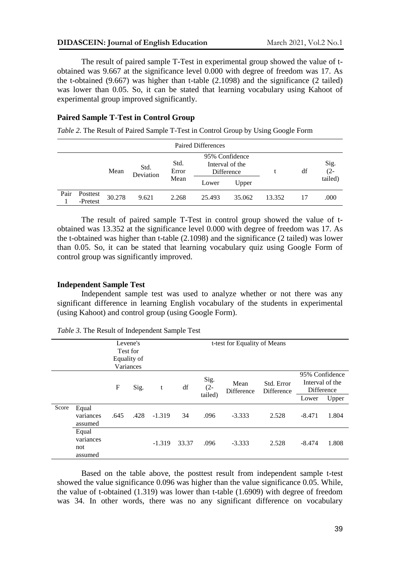The result of paired sample T-Test in experimental group showed the value of tobtained was 9.667 at the significance level 0.000 with degree of freedom was 17. As the t-obtained (9.667) was higher than t-table (2.1098) and the significance (2 tailed) was lower than 0.05. So, it can be stated that learning vocabulary using Kahoot of experimental group improved significantly.

## **Paired Sample T-Test in Control Group**

*Table 2.* The Result of Paired Sample T-Test in Control Group by Using Google Form

| <b>Paired Differences</b> |                      |        |                   |                       |                                                 |        |        |    |                |
|---------------------------|----------------------|--------|-------------------|-----------------------|-------------------------------------------------|--------|--------|----|----------------|
|                           |                      | Mean   | Std.<br>Deviation | Std.<br>Error<br>Mean | 95% Confidence<br>Interval of the<br>Difference |        |        | df | Sig.<br>$(2 -$ |
|                           |                      |        |                   |                       | Lower                                           | Upper  |        |    | tailed)        |
| Pair                      | Posttest<br>-Pretest | 30.278 | 9.621             | 2.268                 | 25.493                                          | 35.062 | 13.352 |    | .000           |

The result of paired sample T-Test in control group showed the value of tobtained was 13.352 at the significance level 0.000 with degree of freedom was 17. As the t-obtained was higher than t-table (2.1098) and the significance (2 tailed) was lower than 0.05. So, it can be stated that learning vocabulary quiz using Google Form of control group was significantly improved.

### **Independent Sample Test**

Independent sample test was used to analyze whether or not there was any significant difference in learning English vocabulary of the students in experimental (using Kahoot) and control group (using Google Form).

|       |                                      | Variances | Levene's<br>Test for<br>Equality of |          |       | t-test for Equality of Means |                    |                          |                                                          |       |
|-------|--------------------------------------|-----------|-------------------------------------|----------|-------|------------------------------|--------------------|--------------------------|----------------------------------------------------------|-------|
|       |                                      | F         | Sig.                                | t        | df    | Sig.<br>$(2 -$<br>tailed)    | Mean<br>Difference | Std. Error<br>Difference | 95% Confidence<br>Interval of the<br>Difference<br>Lower | Upper |
| Score | Equal<br>variances<br>assumed        | .645      | .428                                | $-1.319$ | 34    | .096                         | $-3.333$           | 2.528                    | $-8.471$                                                 | 1.804 |
|       | Equal<br>variances<br>not<br>assumed |           |                                     | $-1.319$ | 33.37 | .096                         | $-3.333$           | 2.528                    | $-8.474$                                                 | 1.808 |

*Table 3.* The Result of Independent Sample Test

Based on the table above, the posttest result from independent sample t-test showed the value significance 0.096 was higher than the value significance 0.05. While, the value of t-obtained (1.319) was lower than t-table (1.6909) with degree of freedom was 34. In other words, there was no any significant difference on vocabulary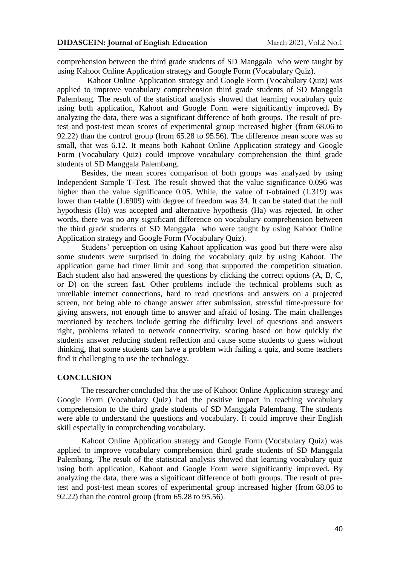comprehension between the third grade students of SD Manggala who were taught by using Kahoot Online Application strategy and Google Form (Vocabulary Quiz).

Kahoot Online Application strategy and Google Form (Vocabulary Quiz) was applied to improve vocabulary comprehension third grade students of SD Manggala Palembang. The result of the statistical analysis showed that learning vocabulary quiz using both application, Kahoot and Google Form were significantly improved**.** By analyzing the data, there was a significant difference of both groups. The result of pretest and post-test mean scores of experimental group increased higher (from 68.06 to 92.22) than the control group (from 65.28 to 95.56). The difference mean score was so small, that was 6.12. It means both Kahoot Online Application strategy and Google Form (Vocabulary Quiz) could improve vocabulary comprehension the third grade students of SD Manggala Palembang.

Besides, the mean scores comparison of both groups was analyzed by using Independent Sample T-Test. The result showed that the value significance 0.096 was higher than the value significance 0.05. While, the value of t-obtained (1.319) was lower than t-table (1.6909) with degree of freedom was 34. It can be stated that the null hypothesis (Ho) was accepted and alternative hypothesis (Ha) was rejected. In other words, there was no any significant difference on vocabulary comprehension between the third grade students of SD Manggala who were taught by using Kahoot Online Application strategy and Google Form (Vocabulary Quiz).

Studens' perception on using Kahoot application was good but there were also some students were surprised in doing the vocabulary quiz by using Kahoot. The application game had timer limit and song that supported the competition situation. Each student also had answered the questions by clicking the correct options (A, B, C, or D) on the screen fast. Other problems include the technical problems such as unreliable internet connections, hard to read questions and answers on a projected screen, not being able to change answer after submission, stressful time-pressure for giving answers, not enough time to answer and afraid of losing. The main challenges mentioned by teachers include getting the difficulty level of questions and answers right, problems related to network connectivity, scoring based on how quickly the students answer reducing student reflection and cause some students to guess without thinking, that some students can have a problem with failing a quiz, and some teachers find it challenging to use the technology.

### **CONCLUSION**

The researcher concluded that the use of Kahoot Online Application strategy and Google Form (Vocabulary Quiz) had the positive impact in teaching vocabulary comprehension to the third grade students of SD Manggala Palembang. The students were able to understand the questions and vocabulary. It could improve their English skill especially in comprehending vocabulary.

Kahoot Online Application strategy and Google Form (Vocabulary Quiz) was applied to improve vocabulary comprehension third grade students of SD Manggala Palembang. The result of the statistical analysis showed that learning vocabulary quiz using both application, Kahoot and Google Form were significantly improved**.** By analyzing the data, there was a significant difference of both groups. The result of pretest and post-test mean scores of experimental group increased higher (from 68.06 to 92.22) than the control group (from 65.28 to 95.56).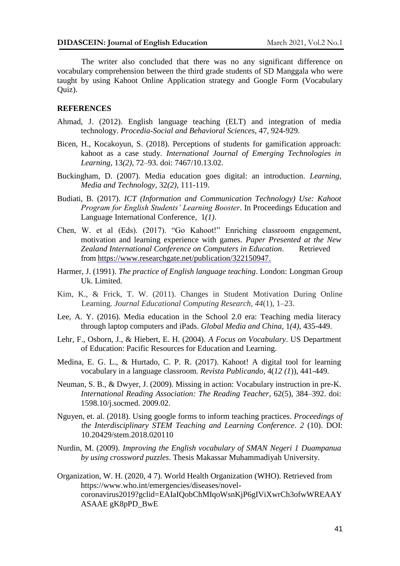The writer also concluded that there was no any significant difference on vocabulary comprehension between the third grade students of SD Manggala who were taught by using Kahoot Online Application strategy and Google Form (Vocabulary Quiz).

#### **REFERENCES**

- Ahmad, J. (2012). English language teaching (ELT) and integration of media technology. *Procedia-Social and Behavioral Sciences*, 47, 924-929.
- Bicen, H., Kocakoyun, S. (2018). Perceptions of students for gamification approach: kahoot as a case study. *International Journal of Emerging Technologies in Learning*, 13*(2),* 72–93. doi: 7467/10.13.02.
- Buckingham, D. (2007). Media education goes digital: an introduction. *Learning, Media and Technology*, 32*(2),* 111-119.
- Budiati, B. (2017). *ICT (Information and Communication Technology) Use: Kahoot Program for English Students' Learning Booster*. In Proceedings Education and Language International Conference, 1*(1)*.
- Chen, W. et al (Eds). (2017). "Go Kahoot!" Enriching classroom engagement, motivation and learning experience with games. *Paper Presented at the New Zealand International Conference on Computers in Education*. Retrieved fro[m https://www.researchgate.net/publication/322150947.](https://www.researchgate.net/publication/322150947)
- Harmer, J. (1991). *The practice of English language teaching*. London: Longman Group Uk. Limited.
- Kim, K., & Frick, T. W. (2011). Changes in Student Motivation During Online Learning. *Journal Educational Computing Research*, *44*(1), 1–23.
- Lee, A. Y. (2016). Media education in the School 2.0 era: Teaching media literacy through laptop computers and iPads. *Global Media and China*, 1*(4)*, 435-449.
- Lehr, F., Osborn, J., & Hiebert, E. H. (2004). *A Focus on Vocabulary*. US Department of Education: Pacific Resources for Education and Learning.
- Medina, E. G. L., & Hurtado, C. P. R. (2017). Kahoot! A digital tool for learning vocabulary in a language classroom. *Revista Publicando*, 4(*12 (1*)), 441-449.
- Neuman, S. B., & Dwyer, J. (2009). Missing in action: Vocabulary instruction in pre-K. *International Reading Association: The Reading Teacher*, 62(5), 384–392. doi: 1598.10/j.socmed. 2009.02.
- Nguyen, et. al. (2018). Using google forms to inform teaching practices. *Proceedings of the Interdisciplinary STEM Teaching and Learning Conference*. *2* (10). DOI: 10.20429/stem.2018.020110
- Nurdin, M. (2009). *Improving the English vocabulary of SMAN Negeri 1 Duampanua by using crossword puzzles*. Thesis Makassar Muhammadiyah University.
- Organization, W. H. (2020, 4 7). World Health Organization (WHO). Retrieved from https://www.who.int/emergencies/diseases/novelcoronavirus2019?gclid=EAIaIQobChMIqoWsnKjP6gIViXwrCh3ofwWREAAY ASAAE gK8pPD\_BwE